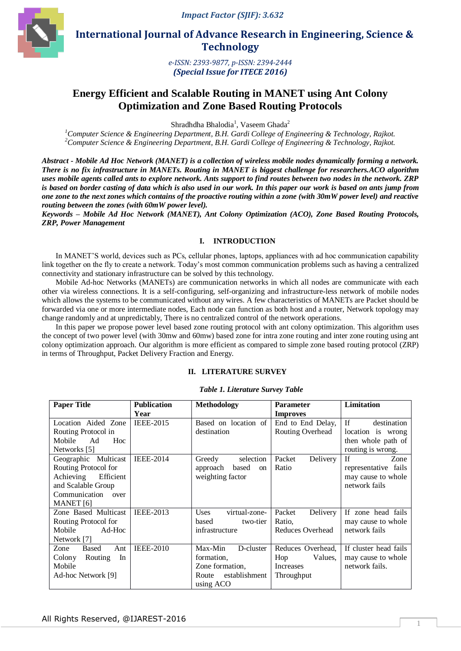

 **International Journal of Advance Research in Engineering, Science & Technology** 

> *e-ISSN: 2393-9877, p-ISSN: 2394-2444 (Special Issue for ITECE 2016)*

# **Energy Efficient and Scalable Routing in MANET using Ant Colony Optimization and Zone Based Routing Protocols**

Shradhdha Bhalodia<sup>1</sup>, Vaseem Ghada<sup>2</sup>

*<sup>1</sup>Computer Science & Engineering Department, B.H. Gardi College of Engineering & Technology, Rajkot. <sup>2</sup>Computer Science & Engineering Department, B.H. Gardi College of Engineering & Technology, Rajkot.*

*Abstract - Mobile Ad Hoc Network (MANET) is a collection of wireless mobile nodes dynamically forming a network. There is no fix infrastructure in MANETs. Routing in MANET is biggest challenge for researchers.ACO algorithm uses mobile agents called ants to explore network. Ants support to find routes between two nodes in the network. ZRP is based on border casting of data which is also used in our work. In this paper our work is based on ants jump from one zone to the next zones which contains of the proactive routing within a zone (with 30mW power level) and reactive routing between the zones (with 60mW power level).*

*Keywords – Mobile Ad Hoc Network (MANET), Ant Colony Optimization (ACO), Zone Based Routing Protocols, ZRP, Power Management*

## **I. INTRODUCTION**

In MANET'S world, devices such as PCs, cellular phones, laptops, appliances with ad hoc communication capability link together on the fly to create a network. Today's most common communication problems such as having a centralized connectivity and stationary infrastructure can be solved by this technology.

Mobile Ad-hoc Networks (MANETs) are communication networks in which all nodes are communicate with each other via wireless connections. It is a self-configuring, self-organizing and infrastructure-less network of mobile nodes which allows the systems to be communicated without any wires. A few characteristics of MANETs are Packet should be forwarded via one or more intermediate nodes, Each node can function as both host and a router, Network topology may change randomly and at unpredictably, There is no centralized control of the network operations.

In this paper we propose power level based zone routing protocol with ant colony optimization. This algorithm uses the concept of two power level (with 30mw and 60mw) based zone for intra zone routing and inter zone routing using ant colony optimization approach. Our algorithm is more efficient as compared to simple zone based routing protocol (ZRP) in terms of Throughput, Packet Delivery Fraction and Energy.

## **II. LITERATURE SURVEY**

#### *Table 1. Literature Survey Table*

| <b>Paper Title</b>          | <b>Publication</b> | Methodology                        | <b>Parameter</b>   | <b>Limitation</b>     |
|-----------------------------|--------------------|------------------------------------|--------------------|-----------------------|
|                             | Year               |                                    | <b>Improves</b>    |                       |
| Location Aided Zone         | <b>IEEE-2015</b>   | Based on location of               | End to End Delay,  | If<br>destination     |
| Routing Protocol in         |                    | destination                        | Routing Overhead   | location is wrong     |
| Mobile<br>Ad<br>Hoc         |                    |                                    |                    | then whole path of    |
| Networks [5]                |                    |                                    |                    | routing is wrong.     |
| Geographic Multicast        | <b>IEEE-2014</b>   | Greedy<br>selection                | Packet<br>Delivery | If<br>Zone            |
| Routing Protocol for        |                    | based<br>approach<br><sub>on</sub> | Ratio              | representative fails  |
| Achieving<br>Efficient      |                    | weighting factor                   |                    | may cause to whole    |
| and Scalable Group          |                    |                                    |                    | network fails         |
| Communication<br>over       |                    |                                    |                    |                       |
| MANET [6]                   |                    |                                    |                    |                       |
| Zone Based Multicast        | <b>IEEE-2013</b>   | virtual-zone-<br><b>Uses</b>       | Packet<br>Delivery | If zone head fails    |
| Routing Protocol for        |                    | based<br>two-tier                  | Ratio,             | may cause to whole    |
| Mobile<br>Ad-Hoc            |                    | infrastructure                     | Reduces Overhead   | network fails         |
| Network [7]                 |                    |                                    |                    |                       |
| <b>Based</b><br>Zone<br>Ant | <b>IEEE-2010</b>   | Max-Min<br>D-cluster               | Reduces Overhead,  | If cluster head fails |
| In<br>Colony<br>Routing     |                    | formation.                         | Hop<br>Values.     | may cause to whole    |
| Mobile                      |                    | Zone formation,                    | Increases          | network fails.        |
| Ad-hoc Network [9]          |                    | establishment<br>Route             | Throughput         |                       |
|                             |                    | using ACO                          |                    |                       |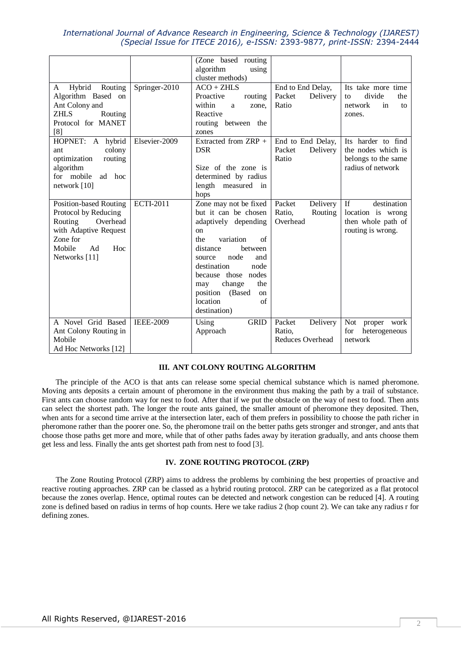|                                                                                                                                                    |                  | (Zone based routing)                                                                                                                                                                                                                                                                       |                                                         |                                                                                                       |
|----------------------------------------------------------------------------------------------------------------------------------------------------|------------------|--------------------------------------------------------------------------------------------------------------------------------------------------------------------------------------------------------------------------------------------------------------------------------------------|---------------------------------------------------------|-------------------------------------------------------------------------------------------------------|
|                                                                                                                                                    |                  | algorithm<br>using<br>cluster methods)                                                                                                                                                                                                                                                     |                                                         |                                                                                                       |
| Hybrid<br>Routing<br>A<br>Algorithm Based on<br>Ant Colony and<br>ZHLS<br>Routing<br>Protocol for MANET<br>[8]                                     | Springer-2010    | $ACO + ZHLS$<br>Proactive<br>routing<br>within<br>a<br>zone,<br>Reactive<br>routing between the<br>zones                                                                                                                                                                                   | End to End Delay,<br>Packet<br>Delivery<br>Ratio        | Its take more time<br>divide<br>the<br>to<br>network<br>in<br>to<br>zones.                            |
| HOPNET: A hybrid<br>colony<br>ant<br>optimization<br>routing<br>algorithm<br>for mobile<br>ad<br>hoc<br>network [10]                               | Elsevier-2009    | Extracted from ZRP +<br><b>DSR</b><br>Size of the zone is<br>determined by radius<br>length measured<br>$\mathbf{in}$<br>hops                                                                                                                                                              | End to End Delay,<br>Delivery<br>Packet<br>Ratio        | Its harder to find<br>the nodes which is<br>belongs to the same<br>radius of network                  |
| Position-based Routing<br>Protocol by Reducing<br>Overhead<br>Routing<br>with Adaptive Request<br>Zone for<br>Mobile<br>Ad<br>Hoc<br>Networks [11] | <b>ECTI-2011</b> | Zone may not be fixed<br>but it can be chosen<br>adaptively depending<br>on<br>variation<br>of<br>the<br>distance<br>between<br>node<br>and<br>source<br>destination<br>node<br>because those nodes<br>change<br>the<br>may<br>position<br>(Based)<br>on<br>location<br>of<br>destination) | Packet<br>Delivery<br>Ratio,<br>Routing<br>Overhead     | $\overline{\text{If}}$<br>destination<br>location is wrong<br>then whole path of<br>routing is wrong. |
| A Novel Grid Based<br>Ant Colony Routing in<br>Mobile<br>Ad Hoc Networks [12]                                                                      | <b>IEEE-2009</b> | <b>GRID</b><br>Using<br>Approach                                                                                                                                                                                                                                                           | Packet<br>Delivery<br>Ratio,<br><b>Reduces Overhead</b> | Not<br>proper work<br>for<br>heterogeneous<br>network                                                 |

## **III. ANT COLONY ROUTING ALGORITHM**

The principle of the ACO is that ants can release some special chemical substance which is named pheromone. Moving ants deposits a certain amount of pheromone in the environment thus making the path by a trail of substance. First ants can choose random way for nest to food. After that if we put the obstacle on the way of nest to food. Then ants can select the shortest path. The longer the route ants gained, the smaller amount of pheromone they deposited. Then, when ants for a second time arrive at the intersection later, each of them prefers in possibility to choose the path richer in pheromone rather than the poorer one. So, the pheromone trail on the better paths gets stronger and stronger, and ants that choose those paths get more and more, while that of other paths fades away by iteration gradually, and ants choose them get less and less. Finally the ants get shortest path from nest to food [3].

## **IV. ZONE ROUTING PROTOCOL (ZRP)**

The Zone Routing Protocol (ZRP) aims to address the problems by combining the best properties of proactive and reactive routing approaches. ZRP can be classed as a hybrid routing protocol. ZRP can be categorized as a flat protocol because the zones overlap. Hence, optimal routes can be detected and network congestion can be reduced [4]. A routing zone is defined based on radius in terms of hop counts. Here we take radius 2 (hop count 2). We can take any radius r for defining zones.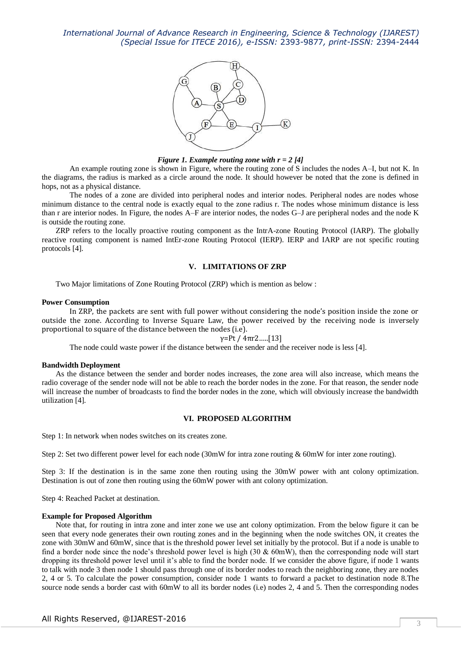

#### *Figure 1. Example routing zone with r = 2 [4]*

An example routing zone is shown in Figure, where the routing zone of S includes the nodes A–I, but not K. In the diagrams, the radius is marked as a circle around the node. It should however be noted that the zone is defined in hops, not as a physical distance.

The nodes of a zone are divided into peripheral nodes and interior nodes. Peripheral nodes are nodes whose minimum distance to the central node is exactly equal to the zone radius r. The nodes whose minimum distance is less than r are interior nodes. In Figure, the nodes A–F are interior nodes, the nodes G–J are peripheral nodes and the node K is outside the routing zone.

ZRP refers to the locally proactive routing component as the IntrA-zone Routing Protocol (IARP). The globally reactive routing component is named IntEr-zone Routing Protocol (IERP). IERP and IARP are not specific routing protocols [4].

## **V. LIMITATIONS OF ZRP**

Two Major limitations of Zone Routing Protocol (ZRP) which is mention as below :

## **Power Consumption**

In ZRP, the packets are sent with full power without considering the node's position inside the zone or outside the zone. According to Inverse Square Law, the power received by the receiving node is inversely proportional to square of the distance between the nodes (i.e).

#### $γ=Pt / 4πr2$ .....[13]

The node could waste power if the distance between the sender and the receiver node is less [4].

#### **Bandwidth Deployment**

As the distance between the sender and border nodes increases, the zone area will also increase, which means the radio coverage of the sender node will not be able to reach the border nodes in the zone. For that reason, the sender node will increase the number of broadcasts to find the border nodes in the zone, which will obviously increase the bandwidth utilization [4].

#### **VI. PROPOSED ALGORITHM**

Step 1: In network when nodes switches on its creates zone.

Step 2: Set two different power level for each node (30mW for intra zone routing & 60mW for inter zone routing).

Step 3: If the destination is in the same zone then routing using the 30mW power with ant colony optimization. Destination is out of zone then routing using the 60mW power with ant colony optimization.

Step 4: Reached Packet at destination.

#### **Example for Proposed Algorithm**

Note that, for routing in intra zone and inter zone we use ant colony optimization. From the below figure it can be seen that every node generates their own routing zones and in the beginning when the node switches ON, it creates the zone with 30mW and 60mW, since that is the threshold power level set initially by the protocol. But if a node is unable to find a border node since the node's threshold power level is high (30  $& 60$ mW), then the corresponding node will start dropping its threshold power level until it's able to find the border node. If we consider the above figure, if node 1 wants to talk with node 3 then node 1 should pass through one of its border nodes to reach the neighboring zone, they are nodes 2, 4 or 5. To calculate the power consumption, consider node 1 wants to forward a packet to destination node 8.The source node sends a border cast with 60mW to all its border nodes (i.e) nodes 2, 4 and 5. Then the corresponding nodes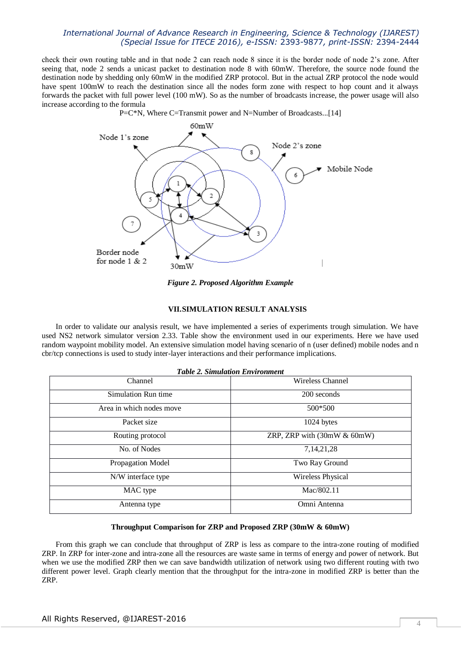check their own routing table and in that node 2 can reach node 8 since it is the border node of node 2's zone. After seeing that, node 2 sends a unicast packet to destination node 8 with 60mW. Therefore, the source node found the destination node by shedding only 60mW in the modified ZRP protocol. But in the actual ZRP protocol the node would have spent 100mW to reach the destination since all the nodes form zone with respect to hop count and it always forwards the packet with full power level (100 mW). So as the number of broadcasts increase, the power usage will also increase according to the formula





*Figure 2. Proposed Algorithm Example*

#### **VII.SIMULATION RESULT ANALYSIS**

In order to validate our analysis result, we have implemented a series of experiments trough simulation. We have used NS2 network simulator version 2.33. Table show the environment used in our experiments. Here we have used random waypoint mobility model. An extensive simulation model having scenario of n (user defined) mobile nodes and n cbr/tcp connections is used to study inter-layer interactions and their performance implications.

| <b>Table 2. Simulation Environment</b> |                             |  |  |  |
|----------------------------------------|-----------------------------|--|--|--|
| Channel                                | Wireless Channel            |  |  |  |
| Simulation Run time                    | 200 seconds                 |  |  |  |
| Area in which nodes move               | 500*500                     |  |  |  |
| Packet size                            | 1024 bytes                  |  |  |  |
| Routing protocol                       | ZRP, ZRP with (30mW & 60mW) |  |  |  |
| No. of Nodes                           | 7, 14, 21, 28               |  |  |  |
| Propagation Model                      | Two Ray Ground              |  |  |  |
| N/W interface type                     | Wireless Physical           |  |  |  |
| MAC type                               | Mac/802.11                  |  |  |  |
| Antenna type                           | Omni Antenna                |  |  |  |

#### **Throughput Comparison for ZRP and Proposed ZRP (30mW & 60mW)**

From this graph we can conclude that throughput of ZRP is less as compare to the intra-zone routing of modified ZRP. In ZRP for inter-zone and intra-zone all the resources are waste same in terms of energy and power of network. But when we use the modified ZRP then we can save bandwidth utilization of network using two different routing with two different power level. Graph clearly mention that the throughput for the intra-zone in modified ZRP is better than the ZRP.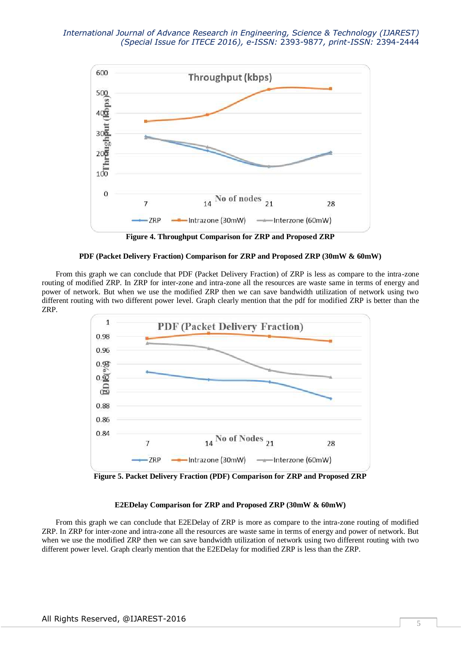

**Figure 4. Throughput Comparison for ZRP and Proposed ZRP**

## **PDF (Packet Delivery Fraction) Comparison for ZRP and Proposed ZRP (30mW & 60mW)**

From this graph we can conclude that PDF (Packet Delivery Fraction) of ZRP is less as compare to the intra-zone routing of modified ZRP. In ZRP for inter-zone and intra-zone all the resources are waste same in terms of energy and power of network. But when we use the modified ZRP then we can save bandwidth utilization of network using two different routing with two different power level. Graph clearly mention that the pdf for modified ZRP is better than the ZRP.



**Figure 5. Packet Delivery Fraction (PDF) Comparison for ZRP and Proposed ZRP**

## **E2EDelay Comparison for ZRP and Proposed ZRP (30mW & 60mW)**

From this graph we can conclude that E2EDelay of ZRP is more as compare to the intra-zone routing of modified ZRP. In ZRP for inter-zone and intra-zone all the resources are waste same in terms of energy and power of network. But when we use the modified ZRP then we can save bandwidth utilization of network using two different routing with two different power level. Graph clearly mention that the E2EDelay for modified ZRP is less than the ZRP.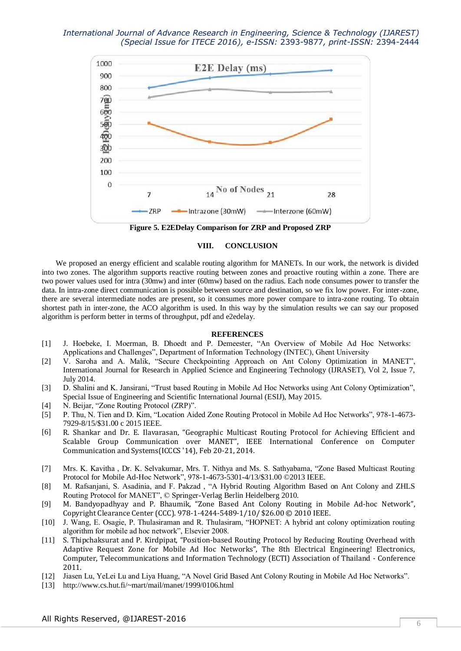

**Figure 5. E2EDelay Comparison for ZRP and Proposed ZRP**

## **VIII. CONCLUSION**

We proposed an energy efficient and scalable routing algorithm for MANETs. In our work, the network is divided into two zones. The algorithm supports reactive routing between zones and proactive routing within a zone. There are two power values used for intra (30mw) and inter (60mw) based on the radius. Each node consumes power to transfer the data. In intra-zone direct communication is possible between source and destination, so we fix low power. For inter-zone, there are several intermediate nodes are present, so it consumes more power compare to intra-zone routing. To obtain shortest path in inter-zone, the ACO algorithm is used. In this way by the simulation results we can say our proposed algorithm is perform better in terms of throughput, pdf and e2edelay.

## **REFERENCES**

- [1] J. Hoebeke, I. Moerman, B. Dhoedt and P. Demeester, "An Overview of Mobile Ad Hoc Networks: Applications and Challenges", Department of Information Technology (INTEC), Ghent University
- [2] V. Saroha and A. Malik, "Secure Checkpointing Approach on Ant Colony Optimization in MANET", International Journal for Research in Applied Science and Engineering Technology (IJRASET), Vol 2, Issue 7, July 2014.
- [3] D. Shalini and K. Jansirani, "Trust based Routing in Mobile Ad Hoc Networks using Ant Colony Optimization", Special Issue of Engineering and Scientific International Journal (ESIJ), May 2015.
- [4] N. Beijar, "Zone Routing Protocol (ZRP)".
- [5] P. Thu, N. Tien and D. Kim, "Location Aided Zone Routing Protocol in Mobile Ad Hoc Networks", 978-1-4673- 7929-8/15/\$31.00 c 2015 IEEE.
- [6] R. Shankar and Dr. E. Ilavarasan, "Geographic Multicast Routing Protocol for Achieving Efficient and Scalable Group Communication over MANET", IEEE International Conference on Computer Communication and Systems(ICCCS '14), Feb 20-21, 2014.
- [7] Mrs. K. Kavitha , Dr. K. Selvakumar, Mrs. T. Nithya and Ms. S. Sathyabama, "Zone Based Multicast Routing Protocol for Mobile Ad-Hoc Network", 978-1-4673-5301-4/13/\$31.00 ©2013 IEEE.
- [8] M. Rafsanjani, S. Asadinia, and F. Pakzad , "A Hybrid Routing Algorithm Based on Ant Colony and ZHLS Routing Protocol for MANET", © Springer-Verlag Berlin Heidelberg 2010.
- [9] M. Bandyopadhyay and P. Bhaumik, "Zone Based Ant Colony Routing in Mobile Ad-hoc Network", Copyright Clearance Center (CCC). 978-1-4244-5489-1/10/ \$26.00 © 2010 IEEE.
- [10] J. Wang, E. Osagie, P. Thulasiraman and R. Thulasiram, "HOPNET: A hybrid ant colony optimization routing algorithm for mobile ad hoc network", Elsevier 2008.
- [11] S. Thipchaksurat and P. Kirdpipat, "Position-based Routing Protocol by Reducing Routing Overhead with Adaptive Request Zone for Mobile Ad Hoc Networks", The 8th Electrical Engineering! Electronics, Computer, Telecommunications and Information Technology (ECTI) Association of Thailand - Conference 2011.
- [12] Jiasen Lu, YeLei Lu and Liya Huang, "A Novel Grid Based Ant Colony Routing in Mobile Ad Hoc Networks".
- [13] http://www.cs.hut.fi/~mart/mail/manet/1999/0106.html